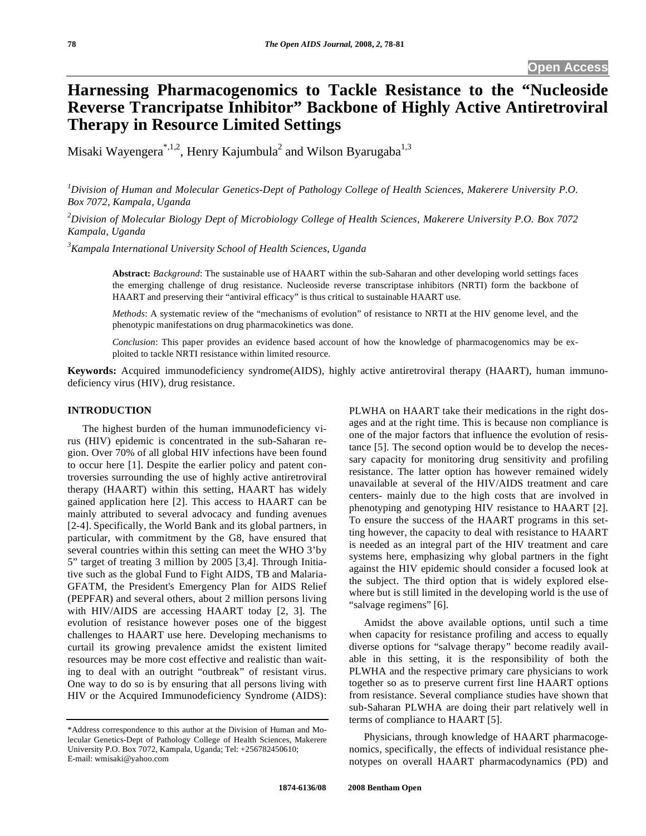# **Harnessing Pharmacogenomics to Tackle Resistance to the "Nucleoside Reverse Trancripatse Inhibitor" Backbone of Highly Active Antiretroviral Therapy in Resource Limited Settings**

Misaki Wayengera<sup>\*,1,2</sup>, Henry Kajumbula<sup>2</sup> and Wilson Byarugaba<sup>1,3</sup>

<sup>1</sup> Division of Human and Molecular Genetics-Dept of Pathology College of Health Sciences, Makerere University P.O. *Box 7072, Kampala, Uganda* 

*2 Division of Molecular Biology Dept of Microbiology College of Health Sciences, Makerere University P.O. Box 7072 Kampala, Uganda* 

*3 Kampala International University School of Health Sciences, Uganda* 

**Abstract:** *Background*: The sustainable use of HAART within the sub-Saharan and other developing world settings faces the emerging challenge of drug resistance. Nucleoside reverse transcriptase inhibitors (NRTI) form the backbone of HAART and preserving their "antiviral efficacy" is thus critical to sustainable HAART use.

*Methods*: A systematic review of the "mechanisms of evolution" of resistance to NRTI at the HIV genome level, and the phenotypic manifestations on drug pharmacokinetics was done.

*Conclusion*: This paper provides an evidence based account of how the knowledge of pharmacogenomics may be exploited to tackle NRTI resistance within limited resource.

**Keywords:** Acquired immunodeficiency syndrome(AIDS), highly active antiretroviral therapy (HAART), human immunodeficiency virus (HIV), drug resistance.

#### **INTRODUCTION**

 The highest burden of the human immunodeficiency virus (HIV) epidemic is concentrated in the sub-Saharan region. Over 70% of all global HIV infections have been found to occur here [1]. Despite the earlier policy and patent controversies surrounding the use of highly active antiretroviral therapy (HAART) within this setting, HAART has widely gained application here [2]. This access to HAART can be mainly attributed to several advocacy and funding avenues [2-4]. Specifically, the World Bank and its global partners, in particular, with commitment by the G8, have ensured that several countries within this setting can meet the WHO 3'by 5" target of treating 3 million by 2005 [3,4]. Through Initiative such as the global Fund to Fight AIDS, TB and Malaria-GFATM, the President's Emergency Plan for AIDS Relief (PEPFAR) and several others, about 2 million persons living with HIV/AIDS are accessing HAART today [2, 3]. The evolution of resistance however poses one of the biggest challenges to HAART use here. Developing mechanisms to curtail its growing prevalence amidst the existent limited resources may be more cost effective and realistic than waiting to deal with an outright "outbreak" of resistant virus. One way to do so is by ensuring that all persons living with HIV or the Acquired Immunodeficiency Syndrome (AIDS):

PLWHA on HAART take their medications in the right dosages and at the right time. This is because non compliance is one of the major factors that influence the evolution of resistance [5]. The second option would be to develop the necessary capacity for monitoring drug sensitivity and profiling resistance. The latter option has however remained widely unavailable at several of the HIV/AIDS treatment and care centers- mainly due to the high costs that are involved in phenotyping and genotyping HIV resistance to HAART [2]. To ensure the success of the HAART programs in this setting however, the capacity to deal with resistance to HAART is needed as an integral part of the HIV treatment and care systems here, emphasizing why global partners in the fight against the HIV epidemic should consider a focused look at the subject. The third option that is widely explored elsewhere but is still limited in the developing world is the use of "salvage regimens" [6].

 Amidst the above available options, until such a time when capacity for resistance profiling and access to equally diverse options for "salvage therapy" become readily available in this setting, it is the responsibility of both the PLWHA and the respective primary care physicians to work together so as to preserve current first line HAART options from resistance. Several compliance studies have shown that sub-Saharan PLWHA are doing their part relatively well in terms of compliance to HAART [5].

 Physicians, through knowledge of HAART pharmacogenomics, specifically, the effects of individual resistance phenotypes on overall HAART pharmacodynamics (PD) and

<sup>\*</sup>Address correspondence to this author at the Division of Human and Molecular Genetics-Dept of Pathology College of Health Sciences, Makerere University P.O. Box 7072, Kampala, Uganda; Tel: +256782450610; E-mail: wmisaki@yahoo.com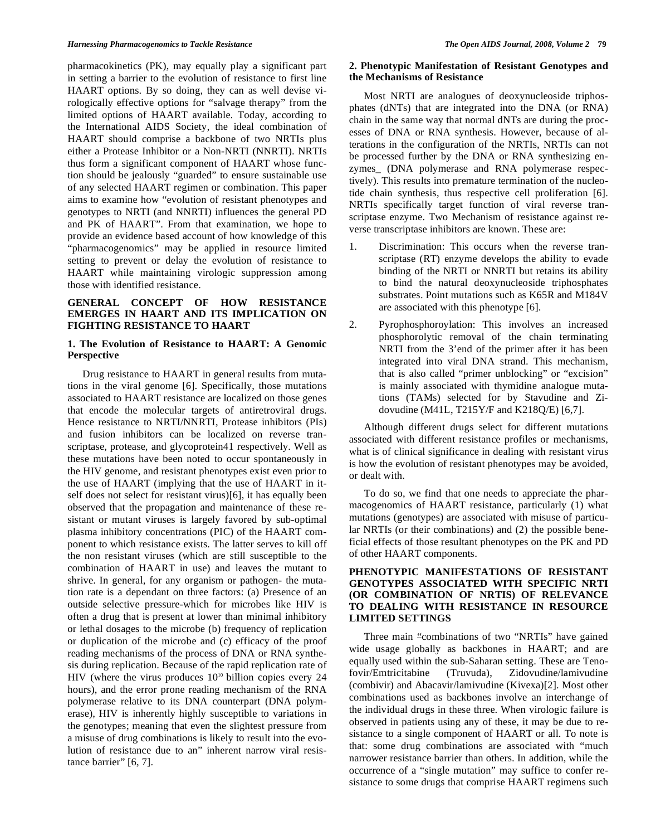pharmacokinetics (PK), may equally play a significant part in setting a barrier to the evolution of resistance to first line HAART options. By so doing, they can as well devise virologically effective options for "salvage therapy" from the limited options of HAART available. Today, according to the International AIDS Society, the ideal combination of HAART should comprise a backbone of two NRTIs plus either a Protease Inhibitor or a Non-NRTI (NNRTI). NRTIs thus form a significant component of HAART whose function should be jealously "guarded" to ensure sustainable use of any selected HAART regimen or combination. This paper aims to examine how "evolution of resistant phenotypes and genotypes to NRTI (and NNRTI) influences the general PD and PK of HAART". From that examination, we hope to provide an evidence based account of how knowledge of this "pharmacogenomics" may be applied in resource limited setting to prevent or delay the evolution of resistance to HAART while maintaining virologic suppression among those with identified resistance.

# **GENERAL CONCEPT OF HOW RESISTANCE EMERGES IN HAART AND ITS IMPLICATION ON FIGHTING RESISTANCE TO HAART**

# **1. The Evolution of Resistance to HAART: A Genomic Perspective**

 Drug resistance to HAART in general results from mutations in the viral genome [6]. Specifically, those mutations associated to HAART resistance are localized on those genes that encode the molecular targets of antiretroviral drugs. Hence resistance to NRTI/NNRTI, Protease inhibitors (PIs) and fusion inhibitors can be localized on reverse transcriptase, protease, and glycoprotein41 respectively. Well as these mutations have been noted to occur spontaneously in the HIV genome, and resistant phenotypes exist even prior to the use of HAART (implying that the use of HAART in itself does not select for resistant virus)[6], it has equally been observed that the propagation and maintenance of these resistant or mutant viruses is largely favored by sub-optimal plasma inhibitory concentrations (PIC) of the HAART component to which resistance exists. The latter serves to kill off the non resistant viruses (which are still susceptible to the combination of HAART in use) and leaves the mutant to shrive. In general, for any organism or pathogen- the mutation rate is a dependant on three factors: (a) Presence of an outside selective pressure-which for microbes like HIV is often a drug that is present at lower than minimal inhibitory or lethal dosages to the microbe (b) frequency of replication or duplication of the microbe and (c) efficacy of the proof reading mechanisms of the process of DNA or RNA synthesis during replication. Because of the rapid replication rate of HIV (where the virus produces  $10^{10}$  billion copies every 24 hours), and the error prone reading mechanism of the RNA polymerase relative to its DNA counterpart (DNA polymerase), HIV is inherently highly susceptible to variations in the genotypes; meaning that even the slightest pressure from a misuse of drug combinations is likely to result into the evolution of resistance due to an" inherent narrow viral resistance barrier" [6, 7].

## **2. Phenotypic Manifestation of Resistant Genotypes and the Mechanisms of Resistance**

 Most NRTI are analogues of deoxynucleoside triphosphates (dNTs) that are integrated into the DNA (or RNA) chain in the same way that normal dNTs are during the processes of DNA or RNA synthesis. However, because of alterations in the configuration of the NRTIs, NRTIs can not be processed further by the DNA or RNA synthesizing enzymes\_ (DNA polymerase and RNA polymerase respectively). This results into premature termination of the nucleotide chain synthesis, thus respective cell proliferation [6]. NRTIs specifically target function of viral reverse transcriptase enzyme. Two Mechanism of resistance against reverse transcriptase inhibitors are known. These are:

- 1. Discrimination: This occurs when the reverse transcriptase (RT) enzyme develops the ability to evade binding of the NRTI or NNRTI but retains its ability to bind the natural deoxynucleoside triphosphates substrates. Point mutations such as K65R and M184V are associated with this phenotype [6].
- 2. Pyrophosphoroylation: This involves an increased phosphorolytic removal of the chain terminating NRTI from the 3'end of the primer after it has been integrated into viral DNA strand. This mechanism, that is also called "primer unblocking" or "excision" is mainly associated with thymidine analogue mutations (TAMs) selected for by Stavudine and Zidovudine (M41L, T215Y/F and K218Q/E) [6,7].

 Although different drugs select for different mutations associated with different resistance profiles or mechanisms, what is of clinical significance in dealing with resistant virus is how the evolution of resistant phenotypes may be avoided, or dealt with.

 To do so, we find that one needs to appreciate the pharmacogenomics of HAART resistance, particularly (1) what mutations (genotypes) are associated with misuse of particular NRTIs (or their combinations) and (2) the possible beneficial effects of those resultant phenotypes on the PK and PD of other HAART components.

# **PHENOTYPIC MANIFESTATIONS OF RESISTANT GENOTYPES ASSOCIATED WITH SPECIFIC NRTI (OR COMBINATION OF NRTIS) OF RELEVANCE TO DEALING WITH RESISTANCE IN RESOURCE LIMITED SETTINGS**

 Three main "combinations of two "NRTIs" have gained wide usage globally as backbones in HAART; and are equally used within the sub-Saharan setting. These are Tenofovir/Emtricitabine (Truvuda), Zidovudine/lamivudine (combivir) and Abacavir/lamivudine (Kivexa)[2]. Most other combinations used as backbones involve an interchange of the individual drugs in these three. When virologic failure is observed in patients using any of these, it may be due to resistance to a single component of HAART or all. To note is that: some drug combinations are associated with "much narrower resistance barrier than others. In addition, while the occurrence of a "single mutation" may suffice to confer resistance to some drugs that comprise HAART regimens such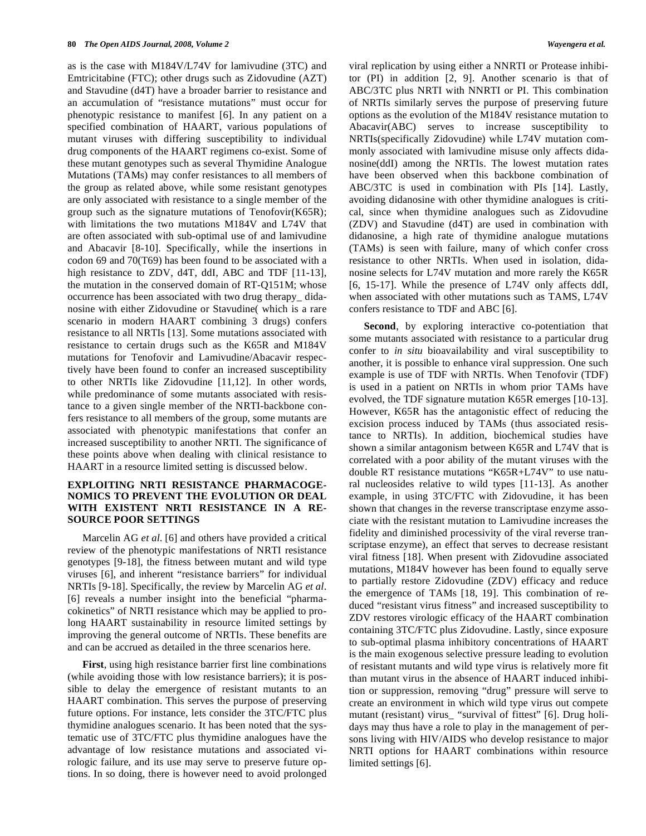as is the case with M184V/L74V for lamivudine (3TC) and Emtricitabine (FTC); other drugs such as Zidovudine (AZT) and Stavudine (d4T) have a broader barrier to resistance and an accumulation of "resistance mutations" must occur for phenotypic resistance to manifest [6]. In any patient on a specified combination of HAART, various populations of mutant viruses with differing susceptibility to individual drug components of the HAART regimens co-exist. Some of these mutant genotypes such as several Thymidine Analogue Mutations (TAMs) may confer resistances to all members of the group as related above, while some resistant genotypes are only associated with resistance to a single member of the group such as the signature mutations of Tenofovir(K65R); with limitations the two mutations M184V and L74V that are often associated with sub-optimal use of and lamivudine and Abacavir [8-10]. Specifically, while the insertions in codon 69 and 70(T69) has been found to be associated with a high resistance to ZDV, d4T, ddI, ABC and TDF [11-13], the mutation in the conserved domain of RT-Q151M; whose occurrence has been associated with two drug therapy\_ didanosine with either Zidovudine or Stavudine( which is a rare scenario in modern HAART combining 3 drugs) confers resistance to all NRTIs [13]. Some mutations associated with resistance to certain drugs such as the K65R and M184V mutations for Tenofovir and Lamivudine/Abacavir respectively have been found to confer an increased susceptibility to other NRTIs like Zidovudine [11,12]. In other words, while predominance of some mutants associated with resistance to a given single member of the NRTI-backbone confers resistance to all members of the group, some mutants are associated with phenotypic manifestations that confer an increased susceptibility to another NRTI. The significance of these points above when dealing with clinical resistance to HAART in a resource limited setting is discussed below.

# **EXPLOITING NRTI RESISTANCE PHARMACOGE-NOMICS TO PREVENT THE EVOLUTION OR DEAL WITH EXISTENT NRTI RESISTANCE IN A RE-SOURCE POOR SETTINGS**

 Marcelin AG *et al*. [6] and others have provided a critical review of the phenotypic manifestations of NRTI resistance genotypes [9-18], the fitness between mutant and wild type viruses [6], and inherent "resistance barriers" for individual NRTIs [9-18]. Specifically, the review by Marcelin AG *et al*. [6] reveals a number insight into the beneficial "pharmacokinetics" of NRTI resistance which may be applied to prolong HAART sustainability in resource limited settings by improving the general outcome of NRTIs. These benefits are and can be accrued as detailed in the three scenarios here.

 **First**, using high resistance barrier first line combinations (while avoiding those with low resistance barriers); it is possible to delay the emergence of resistant mutants to an HAART combination. This serves the purpose of preserving future options. For instance, lets consider the 3TC/FTC plus thymidine analogues scenario. It has been noted that the systematic use of 3TC/FTC plus thymidine analogues have the advantage of low resistance mutations and associated virologic failure, and its use may serve to preserve future options. In so doing, there is however need to avoid prolonged viral replication by using either a NNRTI or Protease inhibitor (PI) in addition [2, 9]. Another scenario is that of ABC/3TC plus NRTI with NNRTI or PI. This combination of NRTIs similarly serves the purpose of preserving future options as the evolution of the M184V resistance mutation to Abacavir(ABC) serves to increase susceptibility to NRTIs(specifically Zidovudine) while L74V mutation commonly associated with lamivudine misuse only affects didanosine(ddI) among the NRTIs. The lowest mutation rates have been observed when this backbone combination of ABC/3TC is used in combination with PIs [14]. Lastly, avoiding didanosine with other thymidine analogues is critical, since when thymidine analogues such as Zidovudine (ZDV) and Stavudine (d4T) are used in combination with didanosine, a high rate of thymidine analogue mutations (TAMs) is seen with failure, many of which confer cross resistance to other NRTIs. When used in isolation, didanosine selects for L74V mutation and more rarely the K65R [6, 15-17]. While the presence of L74V only affects ddI, when associated with other mutations such as TAMS, L74V confers resistance to TDF and ABC [6].

 **Second**, by exploring interactive co-potentiation that some mutants associated with resistance to a particular drug confer to *in situ* bioavailability and viral susceptibility to another, it is possible to enhance viral suppression. One such example is use of TDF with NRTIs. When Tenofovir (TDF) is used in a patient on NRTIs in whom prior TAMs have evolved, the TDF signature mutation K65R emerges [10-13]. However, K65R has the antagonistic effect of reducing the excision process induced by TAMs (thus associated resistance to NRTIs). In addition, biochemical studies have shown a similar antagonism between K65R and L74V that is correlated with a poor ability of the mutant viruses with the double RT resistance mutations "K65R+L74V" to use natural nucleosides relative to wild types [11-13]. As another example, in using 3TC/FTC with Zidovudine, it has been shown that changes in the reverse transcriptase enzyme associate with the resistant mutation to Lamivudine increases the fidelity and diminished processivity of the viral reverse transcriptase enzyme), an effect that serves to decrease resistant viral fitness [18]. When present with Zidovudine associated mutations, M184V however has been found to equally serve to partially restore Zidovudine (ZDV) efficacy and reduce the emergence of TAMs [18, 19]. This combination of reduced "resistant virus fitness" and increased susceptibility to ZDV restores virologic efficacy of the HAART combination containing 3TC/FTC plus Zidovudine. Lastly, since exposure to sub-optimal plasma inhibitory concentrations of HAART is the main exogenous selective pressure leading to evolution of resistant mutants and wild type virus is relatively more fit than mutant virus in the absence of HAART induced inhibition or suppression, removing "drug" pressure will serve to create an environment in which wild type virus out compete mutant (resistant) virus\_ "survival of fittest" [6]. Drug holidays may thus have a role to play in the management of persons living with HIV/AIDS who develop resistance to major NRTI options for HAART combinations within resource limited settings [6].